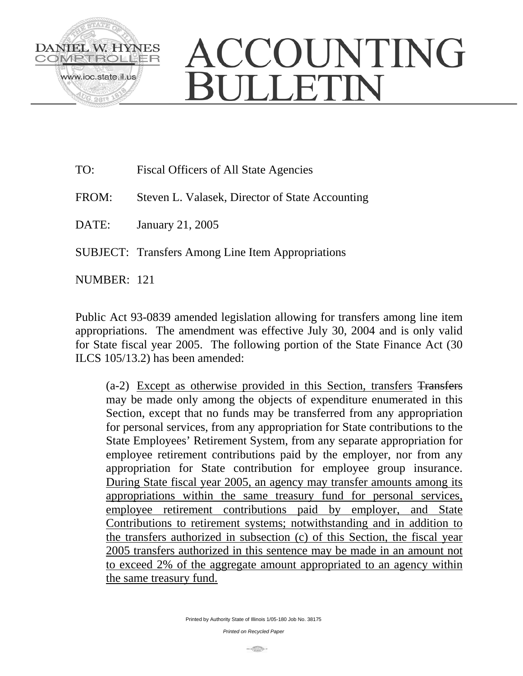

- TO: Fiscal Officers of All State Agencies
- FROM: Steven L. Valasek, Director of State Accounting
- DATE: January 21, 2005
- SUBJECT: Transfers Among Line Item Appropriations

NUMBER: 121

Public Act 93-0839 amended legislation allowing for transfers among line item appropriations. The amendment was effective July 30, 2004 and is only valid for State fiscal year 2005. The following portion of the State Finance Act (30 ILCS 105/13.2) has been amended:

(a-2) Except as otherwise provided in this Section, transfers Transfers may be made only among the objects of expenditure enumerated in this Section, except that no funds may be transferred from any appropriation for personal services, from any appropriation for State contributions to the State Employees' Retirement System, from any separate appropriation for employee retirement contributions paid by the employer, nor from any appropriation for State contribution for employee group insurance. During State fiscal year 2005, an agency may transfer amounts among its appropriations within the same treasury fund for personal services, employee retirement contributions paid by employer, and State Contributions to retirement systems; notwithstanding and in addition to the transfers authorized in subsection (c) of this Section, the fiscal year 2005 transfers authorized in this sentence may be made in an amount not to exceed 2% of the aggregate amount appropriated to an agency within the same treasury fund.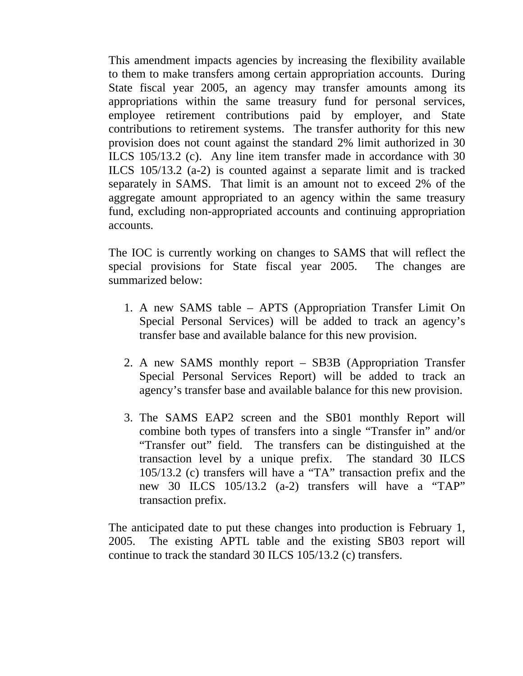This amendment impacts agencies by increasing the flexibility available to them to make transfers among certain appropriation accounts. During State fiscal year 2005, an agency may transfer amounts among its appropriations within the same treasury fund for personal services, employee retirement contributions paid by employer, and State contributions to retirement systems. The transfer authority for this new provision does not count against the standard 2% limit authorized in 30 ILCS 105/13.2 (c). Any line item transfer made in accordance with 30 ILCS 105/13.2 (a-2) is counted against a separate limit and is tracked separately in SAMS. That limit is an amount not to exceed 2% of the aggregate amount appropriated to an agency within the same treasury fund, excluding non-appropriated accounts and continuing appropriation accounts.

The IOC is currently working on changes to SAMS that will reflect the special provisions for State fiscal year 2005. The changes are summarized below:

- 1. A new SAMS table APTS (Appropriation Transfer Limit On Special Personal Services) will be added to track an agency's transfer base and available balance for this new provision.
- 2. A new SAMS monthly report SB3B (Appropriation Transfer Special Personal Services Report) will be added to track an agency's transfer base and available balance for this new provision.
- 3. The SAMS EAP2 screen and the SB01 monthly Report will combine both types of transfers into a single "Transfer in" and/or "Transfer out" field. The transfers can be distinguished at the transaction level by a unique prefix. The standard 30 ILCS 105/13.2 (c) transfers will have a "TA" transaction prefix and the new 30 ILCS 105/13.2 (a-2) transfers will have a "TAP" transaction prefix.

The anticipated date to put these changes into production is February 1, 2005. The existing APTL table and the existing SB03 report will continue to track the standard 30 ILCS 105/13.2 (c) transfers.